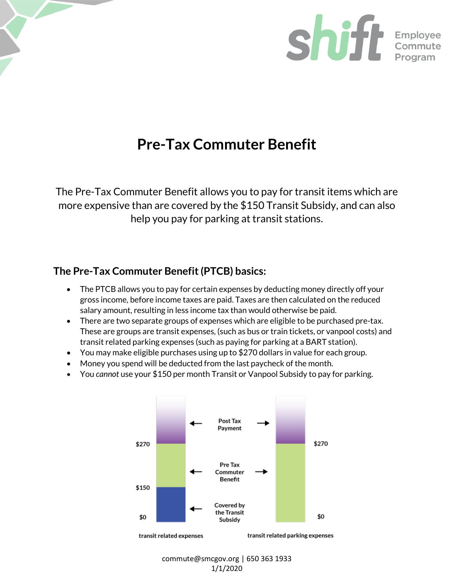

# **Pre-Tax Commuter Benefit**

The Pre-Tax Commuter Benefit allows you to pay for transit items which are more expensive than are covered by the \$150 Transit Subsidy, and can also help you pay for parking at transit stations.

# **The Pre-Tax Commuter Benefit (PTCB) basics:**

- The PTCB allows you to pay for certain expenses by deducting money directly off your gross income, before income taxes are paid. Taxes are then calculated on the reduced salary amount, resulting in less income tax than would otherwise be paid.
- There are two separate groups of expenses which are eligible to be purchased pre-tax. These are groups are transit expenses, (such as bus or train tickets, or vanpool costs) and transit related parking expenses (such as paying for parking at a BART station).
- You may make eligible purchases using up to \$270 dollars in value for each group.
- Money you spend will be deducted from the last paycheck of the month.
- You *cannot* use your \$150 per month Transit or Vanpool Subsidy to pay for parking.



commute@smcgov.org | 650 363 1933 1/1/2020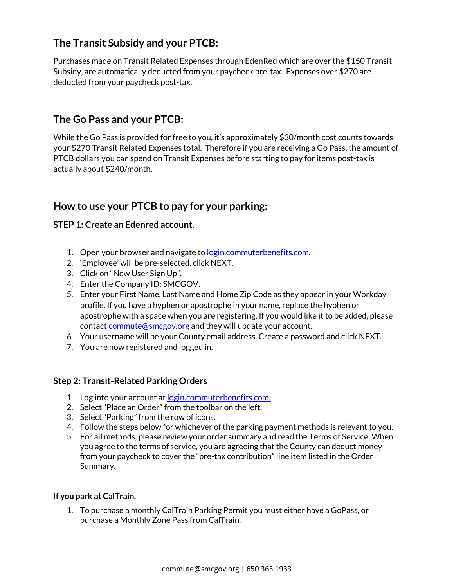# **The Transit Subsidy and your PTCB:**

Purchases made on Transit Related Expenses through EdenRed which are over the \$150 Transit Subsidy, are automatically deducted from your paycheck pre-tax. Expenses over \$270 are deducted from your paycheck post-tax.

# **The Go Pass and your PTCB:**

While the Go Pass is provided for free to you, it's approximately \$30/month cost counts towards your \$270 Transit Related Expenses total. Therefore if you are receiving a Go Pass, the amount of PTCB dollars you can spend on Transit Expenses before starting to pay for items post-tax is actually about \$240/month.

## **How to use your PTCB to pay for your parking:**

## **STEP 1: Create an Edenred account.**

- 1. Open your browser and navigate t[o login.commuterbenefits.com.](https://login.commuterbenefits.com/)
- 2. 'Employee' will be pre-selected, click NEXT.
- 3. Click on "New User Sign Up".
- 4. Enter the Company ID: SMCGOV.
- 5. Enter your First Name, Last Name and Home Zip Code as they appear in your Workday profile. If you have a hyphen or apostrophe in your name, replace the hyphen or apostrophe with a space when you are registering. If you would like it to be added, please contac[t commute@smcgov.org](mailto:commute@smcgov.org) and they will update your account.
- 6. Your username will be your County email address. Create a password and click NEXT.
- 7. You are now registered and logged in.

## **Step 2: Transit-Related Parking Orders**

- 1. Log into your account at <u>login.commuterbenefits.com.</u>
- 2. Select "Place an Order" from the toolbar on the left.
- 3. Select "Parking" from the row of icons.
- 4. Follow the steps below for whichever of the parking payment methods is relevant to you.
- 5. For all methods, please review your order summary and read the Terms of Service. When you agree to the terms of service, you are agreeing that the County can deduct money from your paycheck to cover the "pre-tax contribution" line item listed in the Order Summary.

### **If you park at CalTrain.**

1. To purchase a monthly CalTrain Parking Permit you must either have a GoPass, or purchase a Monthly Zone Pass from CalTrain.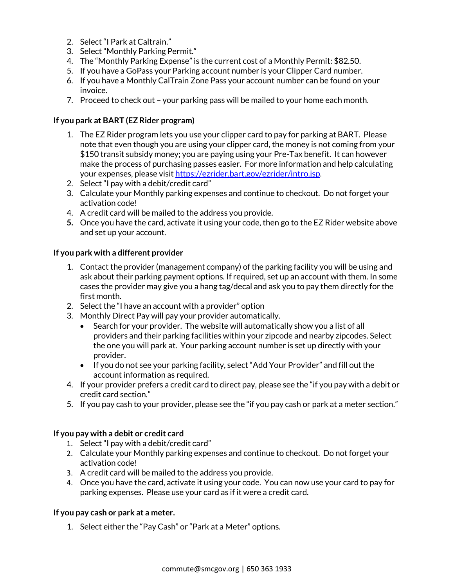- 2. Select "I Park at Caltrain."
- 3. Select "Monthly Parking Permit."
- 4. The "Monthly Parking Expense" is the current cost of a Monthly Permit: \$82.50.
- 5. If you have a GoPass your Parking account number is your Clipper Card number.
- 6. If you have a Monthly CalTrain Zone Pass your account number can be found on your invoice.
- 7. Proceed to check out your parking pass will be mailed to your home each month.

## **If you park at BART (EZ Rider program)**

- 1. The EZ Rider program lets you use your clipper card to pay for parking at BART. Please note that even though you are using your clipper card, the money is not coming from your \$150 transit subsidy money; you are paying using your Pre-Tax benefit. It can however make the process of purchasing passes easier. For more information and help calculating your expenses, please visi[t https://ezrider.bart.gov/ezrider/intro.jsp.](https://ezrider.bart.gov/ezrider/intro.jsp)
- 2. Select "I pay with a debit/credit card"
- 3. Calculate your Monthly parking expenses and continue to checkout. Do not forget your activation code!
- 4. A credit card will be mailed to the address you provide.
- **5.** Once you have the card, activate it using your code, then go to the EZ Rider website above and set up your account.

### **If you park with a different provider**

- 1. Contact the provider (management company) of the parking facility you will be using and ask about their parking payment options. If required, set up an account with them. In some cases the provider may give you a hang tag/decal and ask you to pay them directly for the first month.
- 2. Select the "I have an account with a provider" option
- 3. Monthly Direct Pay will pay your provider automatically.
	- Search for your provider. The website will automatically show you a list of all providers and their parking facilities within your zipcode and nearby zipcodes. Select the one you will park at. Your parking account number is set up directly with your provider.
	- If you do not see your parking facility, select "Add Your Provider" and fill out the account information as required.
- 4. If your provider prefers a credit card to direct pay, please see the "if you pay with a debit or credit card section."
- 5. If you pay cash to your provider, please see the "if you pay cash or park at a meter section."

### **If you pay with a debit or credit card**

- 1. Select "I pay with a debit/credit card"
- 2. Calculate your Monthly parking expenses and continue to checkout. Do not forget your activation code!
- 3. A credit card will be mailed to the address you provide.
- 4. Once you have the card, activate it using your code. You can now use your card to pay for parking expenses. Please use your card as if it were a credit card.

### **If you pay cash or park at a meter.**

1. Select either the "Pay Cash" or "Park at a Meter" options.